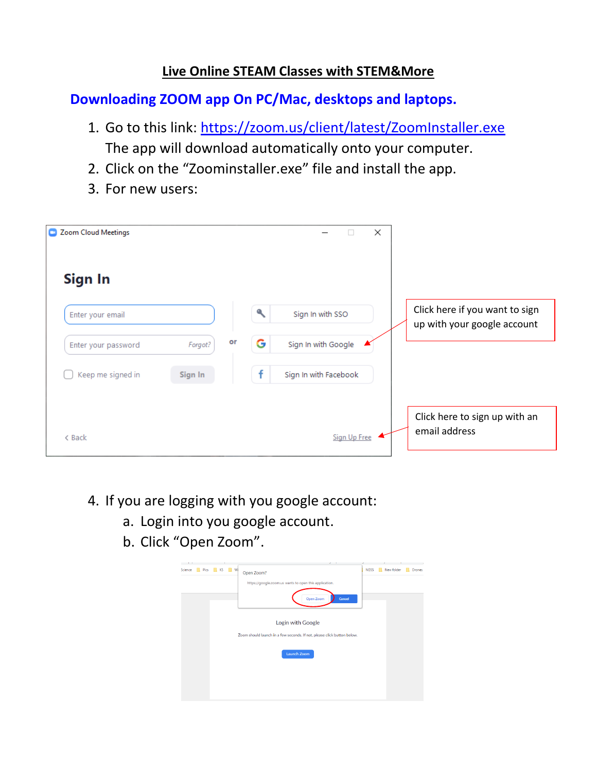#### **Live Online STEAM Classes with STEM&More**

**Downloading ZOOM app On PC/Mac, desktops and laptops.**

- 1. Go to this link:<https://zoom.us/client/latest/ZoomInstaller.exe> The app will download automatically onto your computer.
- 2. Click on the "Zoominstaller.exe" file and install the app.
- 3. For new users:

| Coom Cloud Meetings |               |   | ×<br>ш                |                                                               |
|---------------------|---------------|---|-----------------------|---------------------------------------------------------------|
| Sign In             |               |   |                       |                                                               |
| Enter your email    |               | a | Sign In with SSO      | Click here if you want to sign<br>up with your google account |
| Enter your password | or<br>Forgot? | G | Sign In with Google   |                                                               |
| Keep me signed in   | Sign In       | ÷ | Sign In with Facebook |                                                               |
| < Back              |               |   | Sign Up Free          | Click here to sign up with an<br>email address                |

- 4. If you are logging with you google account:
	- a. Login into you google account.
	- b. Click "Open Zoom".

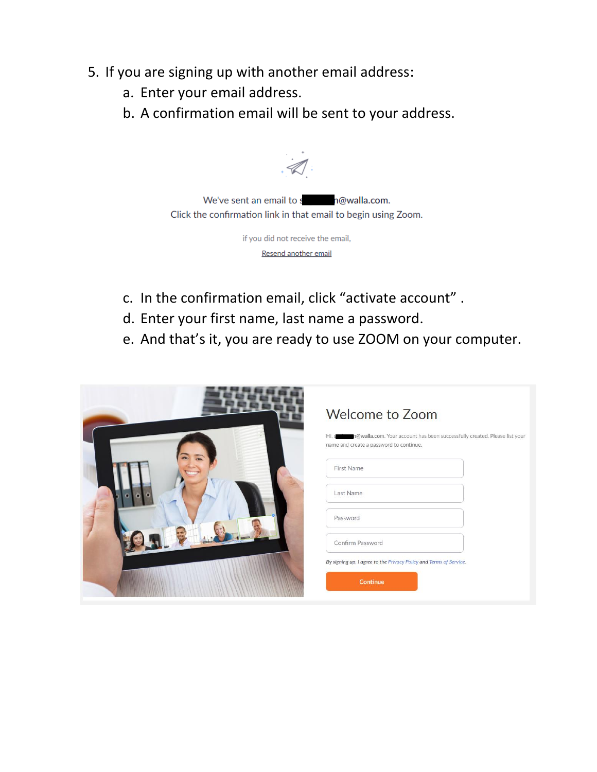- 5. If you are signing up with another email address:
	- a. Enter your email address.
	- b. A confirmation email will be sent to your address.



if you did not receive the email, Resend another email

- c. In the confirmation email, click "activate account" .
- d. Enter your first name, last name a password.
- e. And that's it, you are ready to use ZOOM on your computer.

| <b>Welcome to Zoom</b>                                                                                                        |
|-------------------------------------------------------------------------------------------------------------------------------|
| n@walla.com. Your account has been successfully created. Please list your<br>Hi, s<br>name and create a password to continue. |
|                                                                                                                               |
| First Name                                                                                                                    |
| Last Name                                                                                                                     |
|                                                                                                                               |
| Password                                                                                                                      |
| Confirm Password                                                                                                              |
|                                                                                                                               |
| By signing up, I agree to the Privacy Policy and Terms of Service.                                                            |
| <b>Continue</b>                                                                                                               |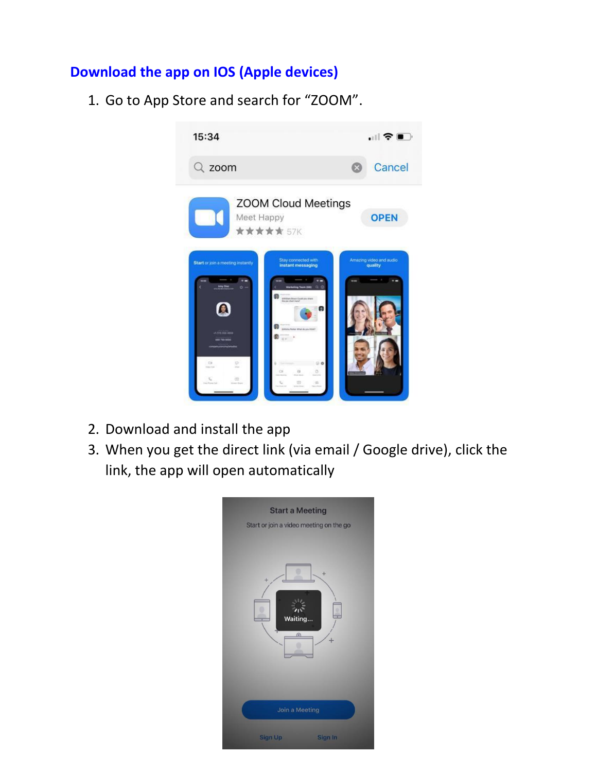## **Download the app on IOS (Apple devices)**

1. Go to App Store and search for "ZOOM".



- 2. Download and install the app
- 3. When you get the direct link (via email / Google drive), click the link, the app will open automatically

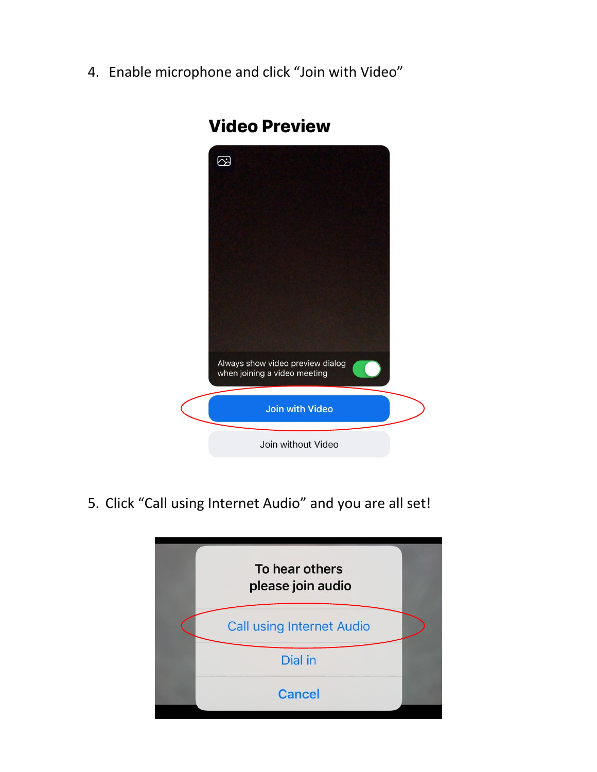4. Enable microphone and click "Join with Video"



# **Video Preview**

5. Click "Call using Internet Audio" and you are all set!